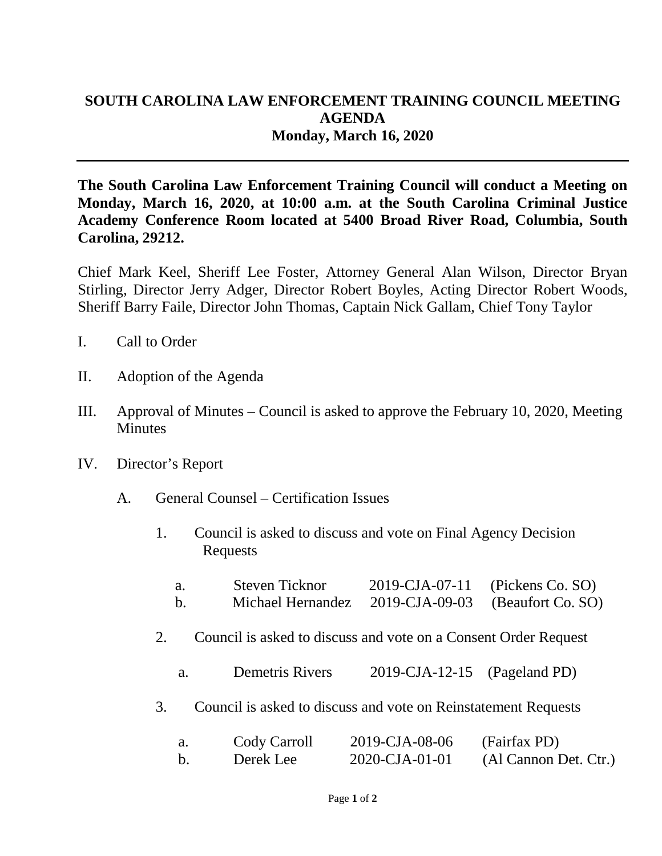## **SOUTH CAROLINA LAW ENFORCEMENT TRAINING COUNCIL MEETING AGENDA Monday, March 16, 2020**

**The South Carolina Law Enforcement Training Council will conduct a Meeting on Monday, March 16, 2020, at 10:00 a.m. at the South Carolina Criminal Justice Academy Conference Room located at 5400 Broad River Road, Columbia, South Carolina, 29212.** 

Chief Mark Keel, Sheriff Lee Foster, Attorney General Alan Wilson, Director Bryan Stirling, Director Jerry Adger, Director Robert Boyles, Acting Director Robert Woods, Sheriff Barry Faile, Director John Thomas, Captain Nick Gallam, Chief Tony Taylor

- I. Call to Order
- II. Adoption of the Agenda
- III. Approval of Minutes Council is asked to approve the February 10, 2020, Meeting **Minutes**
- IV. Director's Report
	- A. General Counsel Certification Issues
		- 1. Council is asked to discuss and vote on Final Agency Decision Requests

| a. | Steven Ticknor                                     | 2019-CJA-07-11 (Pickens Co. SO) |
|----|----------------------------------------------------|---------------------------------|
| b. | Michael Hernandez 2019-CJA-09-03 (Beaufort Co. SO) |                                 |

- 2. Council is asked to discuss and vote on a Consent Order Request
	- a. Demetris Rivers 2019-CJA-12-15 (Pageland PD)
- 3. Council is asked to discuss and vote on Reinstatement Requests

| Cody Carroll | 2019-CJA-08-06 | (Fairfax PD)          |
|--------------|----------------|-----------------------|
| Derek Lee    | 2020-CJA-01-01 | (Al Cannon Det. Ctr.) |